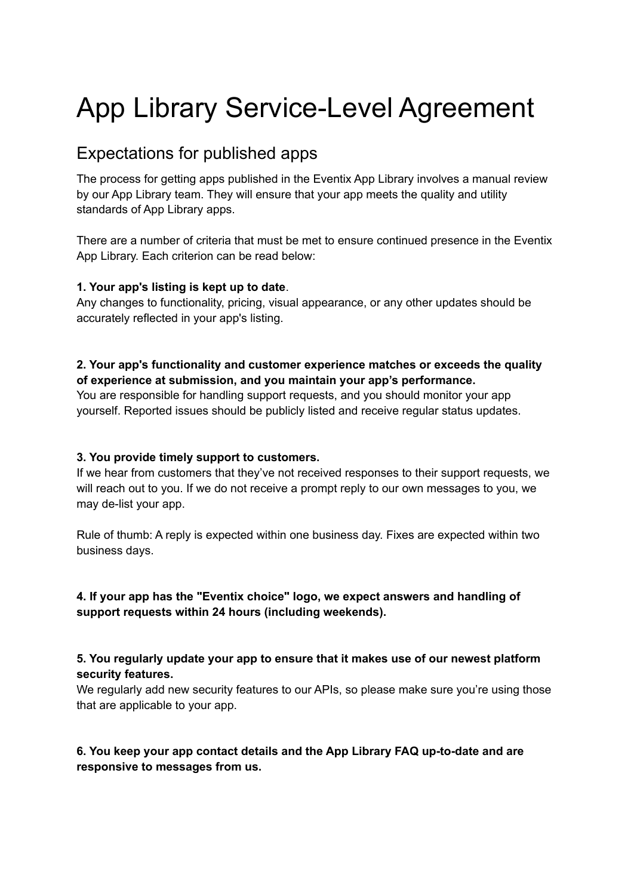# App Library Service-Level Agreement

# Expectations for published apps

The process for getting apps published in the Eventix App Library involves a manual review by our App Library team. They will ensure that your app meets the quality and utility standards of App Library apps.

There are a number of criteria that must be met to ensure continued presence in the Eventix App Library. Each criterion can be read below:

# **1. Your app's listing is kept up to date**.

Any changes to functionality, pricing, visual appearance, or any other updates should be accurately reflected in your app's listing.

# **2. Your app's functionality and customer experience matches or exceeds the quality of experience at submission, and you maintain your app's performance.**

You are responsible for handling support requests, and you should monitor your app yourself. Reported issues should be publicly listed and receive regular status updates.

# **3. You provide timely support to customers.**

If we hear from customers that they've not received responses to their support requests, we will reach out to you. If we do not receive a prompt reply to our own messages to you, we may de-list your app.

Rule of thumb: A reply is expected within one business day. Fixes are expected within two business days.

# **4. If your app has the "Eventix choice" logo, we expect answers and handling of support requests within 24 hours (including weekends).**

**5. You regularly update your app to ensure that it makes use of our newest platform security features.**

We regularly add new security features to our APIs, so please make sure you're using those that are applicable to your app.

# **6. You keep your app contact details and the App Library FAQ up-to-date and are responsive to messages from us.**